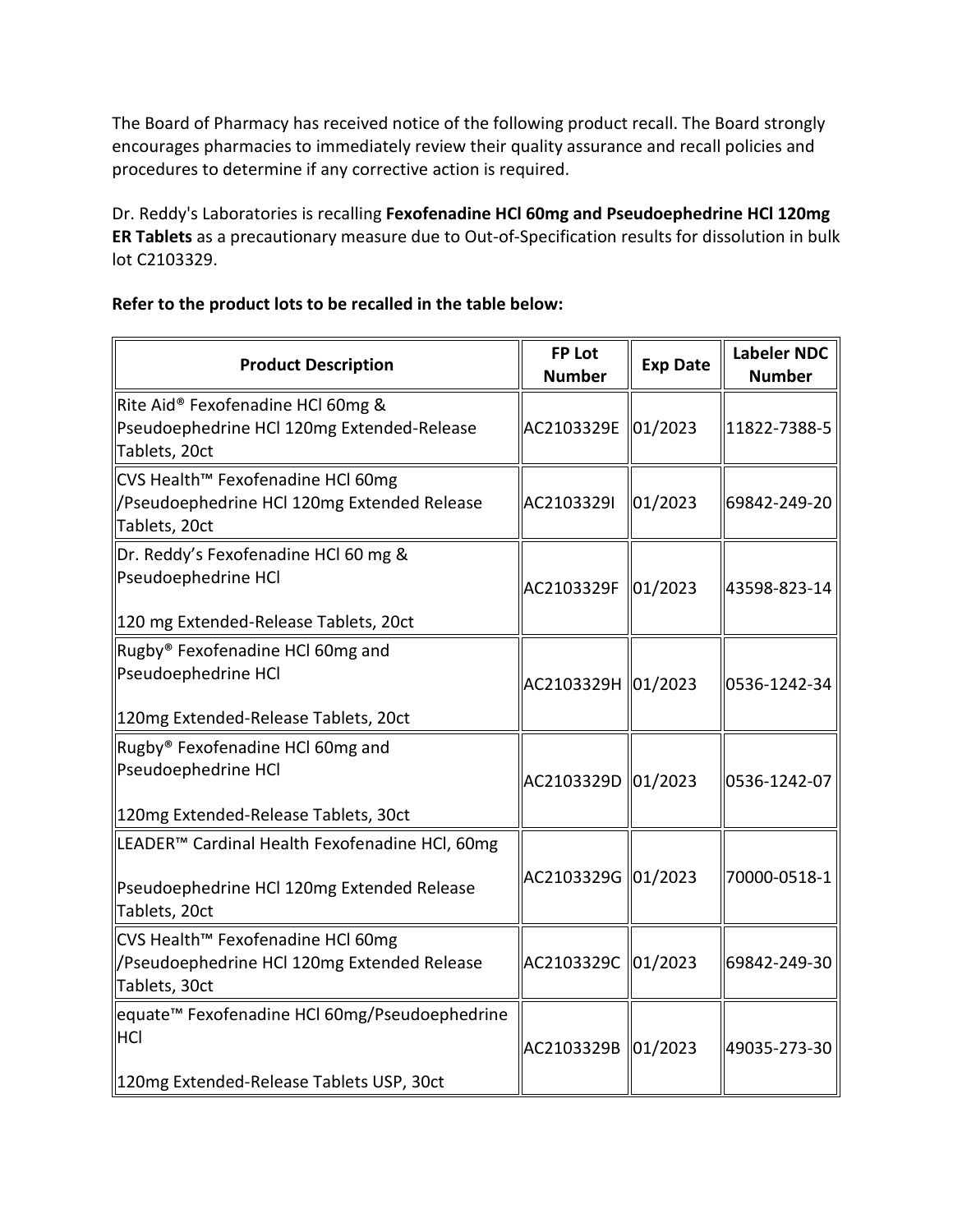The Board of Pharmacy has received notice of the following product recall. The Board strongly encourages pharmacies to immediately review their quality assurance and recall policies and procedures to determine if any corrective action is required.

Dr. Reddy's Laboratories is recalling **Fexofenadine HCl 60mg and Pseudoephedrine HCl 120mg ER Tablets** as a precautionary measure due to Out-of-Specification results for dissolution in bulk lot C2103329.

## **Refer to the product lots to be recalled in the table below:**

| <b>Product Description</b>                                                                                                | <b>FP Lot</b><br><b>Number</b> | <b>Exp Date</b> | <b>Labeler NDC</b><br><b>Number</b> |
|---------------------------------------------------------------------------------------------------------------------------|--------------------------------|-----------------|-------------------------------------|
| Rite Aid® Fexofenadine HCl 60mg &<br>Pseudoephedrine HCl 120mg Extended-Release<br>Tablets, 20ct                          | AC2103329E 01/2023             |                 | 11822-7388-5                        |
| CVS Health™ Fexofenadine HCl 60mg<br>/Pseudoephedrine HCl 120mg Extended Release<br>Tablets, 20ct                         | AC2103329I                     | 01/2023         | 69842-249-20                        |
| Dr. Reddy's Fexofenadine HCl 60 mg &<br>Pseudoephedrine HCl<br>120 mg Extended-Release Tablets, 20ct                      | AC2103329F 01/2023             |                 | 43598-823-14                        |
| Rugby <sup>®</sup> Fexofenadine HCl 60mg and<br>Pseudoephedrine HCl<br>120mg Extended-Release Tablets, 20ct               | AC2103329H 01/2023             |                 | 0536-1242-34                        |
| Rugby <sup>®</sup> Fexofenadine HCl 60mg and<br>Pseudoephedrine HCl<br>120mg Extended-Release Tablets, 30ct               | AC2103329D 01/2023             |                 | 0536-1242-07                        |
| LEADER <sup>™</sup> Cardinal Health Fexofenadine HCl, 60mg<br>Pseudoephedrine HCl 120mg Extended Release<br>Tablets, 20ct | AC2103329G 01/2023             |                 | 70000-0518-1                        |
| CVS Health™ Fexofenadine HCl 60mg<br>/Pseudoephedrine HCl 120mg Extended Release<br>Tablets, 30ct                         | AC2103329C 01/2023             |                 | 69842-249-30                        |
| equate <sup>™</sup> Fexofenadine HCl 60mg/Pseudoephedrine<br>HCI<br>120mg Extended-Release Tablets USP, 30ct              | AC2103329B 01/2023             |                 | 49035-273-30                        |